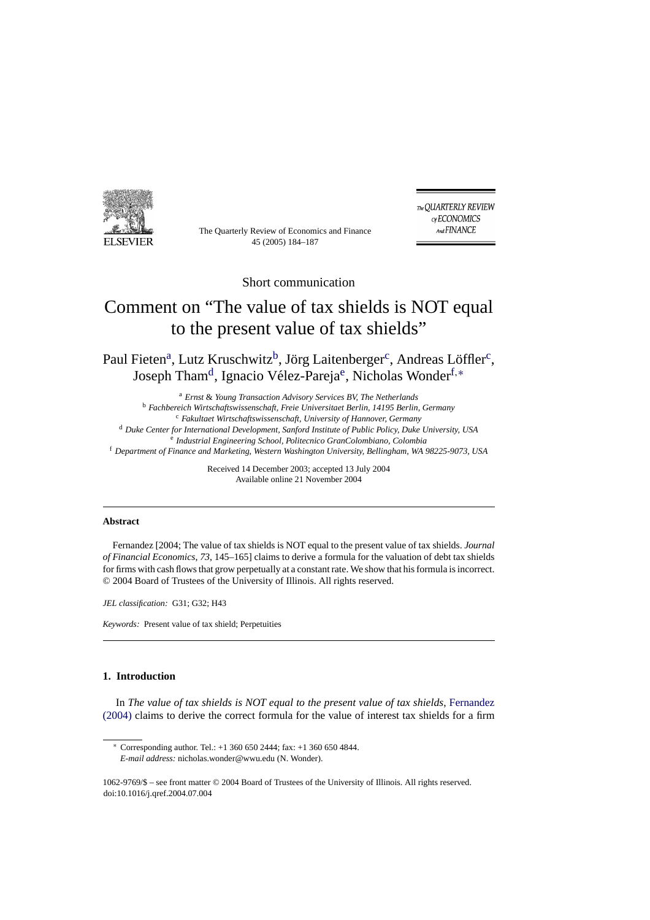

The Quarterly Review of Economics and Finance 45 (2005) 184–187

The QUARTERLY REVIEW of ECONOMICS And FINANCE

Short communication

# Comment on "The value of tax shields is NOT equal to the present value of tax shields"

Paul Fieten<sup>a</sup>, Lutz Kruschwitz<sup>b</sup>, Jörg Laitenberger<sup>c</sup>, Andreas Löffler<sup>c</sup>, Joseph Tham<sup>d</sup>, Ignacio Vélez-Pareja<sup>e</sup>, Nicholas Wonder<sup>f,∗</sup>

<sup>a</sup> *Ernst* & *Young Transaction Advisory Services BV, The Netherlands*

<sup>b</sup> *Fachbereich Wirtschaftswissenschaft, Freie Universitaet Berlin, 14195 Berlin, Germany*

<sup>c</sup> *Fakultaet Wirtschaftswissenschaft, University of Hannover, Germany*

<sup>d</sup> *Duke Center for International Development, Sanford Institute of Public Policy, Duke University, USA* <sup>e</sup> *Industrial Engineering School, Politecnico GranColombiano, Colombia*

<sup>f</sup> *Department of Finance and Marketing, Western Washington University, Bellingham, WA 98225-9073, USA*

Received 14 December 2003; accepted 13 July 2004 Available online 21 November 2004

#### **Abstract**

Fernandez [2004; The value of tax shields is NOT equal to the present value of tax shields. *Journal of Financial Economics*, *73*, 145–165] claims to derive a formula for the valuation of debt tax shields for firms with cash flows that grow perpetually at a constant rate. We show that his formula is incorrect. © 2004 Board of Trustees of the University of Illinois. All rights reserved.

*JEL classification:* G31; G32; H43

*Keywords:* Present value of tax shield; Perpetuities

## **1. Introduction**

In *The value of tax shields is NOT equal to the present value of tax shields*, [Fernandez](#page-3-0) [\(2004\)](#page-3-0) claims to derive the correct formula for the value of interest tax shields for a firm

<sup>∗</sup> Corresponding author. Tel.: +1 360 650 2444; fax: +1 360 650 4844. *E-mail address:* nicholas.wonder@wwu.edu (N. Wonder).

<sup>1062-9769/\$ –</sup> see front matter © 2004 Board of Trustees of the University of Illinois. All rights reserved. doi:10.1016/j.qref.2004.07.004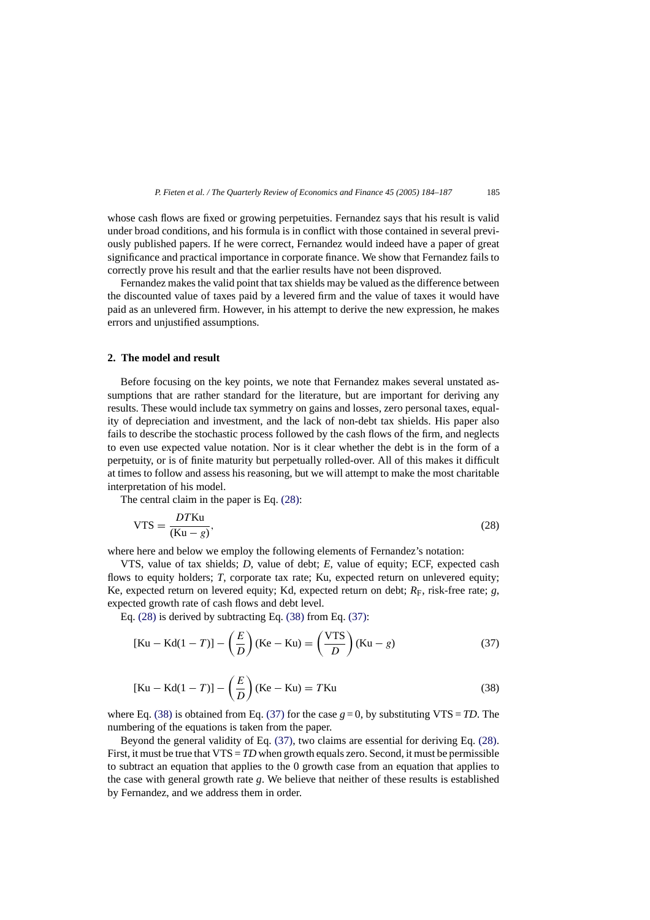<span id="page-1-0"></span>whose cash flows are fixed or growing perpetuities. Fernandez says that his result is valid under broad conditions, and his formula is in conflict with those contained in several previously published papers. If he were correct, Fernandez would indeed have a paper of great significance and practical importance in corporate finance. We show that Fernandez fails to correctly prove his result and that the earlier results have not been disproved.

Fernandez makes the valid point that tax shields may be valued as the difference between the discounted value of taxes paid by a levered firm and the value of taxes it would have paid as an unlevered firm. However, in his attempt to derive the new expression, he makes errors and unjustified assumptions.

#### **2. The model and result**

Before focusing on the key points, we note that Fernandez makes several unstated assumptions that are rather standard for the literature, but are important for deriving any results. These would include tax symmetry on gains and losses, zero personal taxes, equality of depreciation and investment, and the lack of non-debt tax shields. His paper also fails to describe the stochastic process followed by the cash flows of the firm, and neglects to even use expected value notation. Nor is it clear whether the debt is in the form of a perpetuity, or is of finite maturity but perpetually rolled-over. All of this makes it difficult at times to follow and assess his reasoning, but we will attempt to make the most charitable interpretation of his model.

The central claim in the paper is Eq. (28):

$$
VTS = \frac{DTKu}{(Ku - g)},
$$
\n(28)

where here and below we employ the following elements of Fernandez's notation:

VTS, value of tax shields; *D*, value of debt; *E*, value of equity; ECF, expected cash flows to equity holders; *T*, corporate tax rate; Ku, expected return on unlevered equity; Ke, expected return on levered equity; Kd, expected return on debt;  $R_F$ , risk-free rate; *g*, expected growth rate of cash flows and debt level.

Eq. (28) is derived by subtracting Eq. (38) from Eq. (37):

$$
[\text{Ku} - \text{Kd}(1 - T)] - \left(\frac{E}{D}\right)(\text{Ke} - \text{Ku}) = \left(\frac{\text{VTS}}{D}\right)(\text{Ku} - g) \tag{37}
$$

$$
[\text{Ku} - \text{Kd}(1 - T)] - \left(\frac{E}{D}\right)(\text{Ke} - \text{Ku}) = T\text{Ku}
$$
\n(38)

where Eq. (38) is obtained from Eq. (37) for the case  $g = 0$ , by substituting VTS = *TD*. The numbering of the equations is taken from the paper.

Beyond the general validity of Eq. (37), two claims are essential for deriving Eq. (28). First, it must be true that VTS = *TD* when growth equals zero. Second, it must be permissible to subtract an equation that applies to the 0 growth case from an equation that applies to the case with general growth rate *g*. We believe that neither of these results is established by Fernandez, and we address them in order.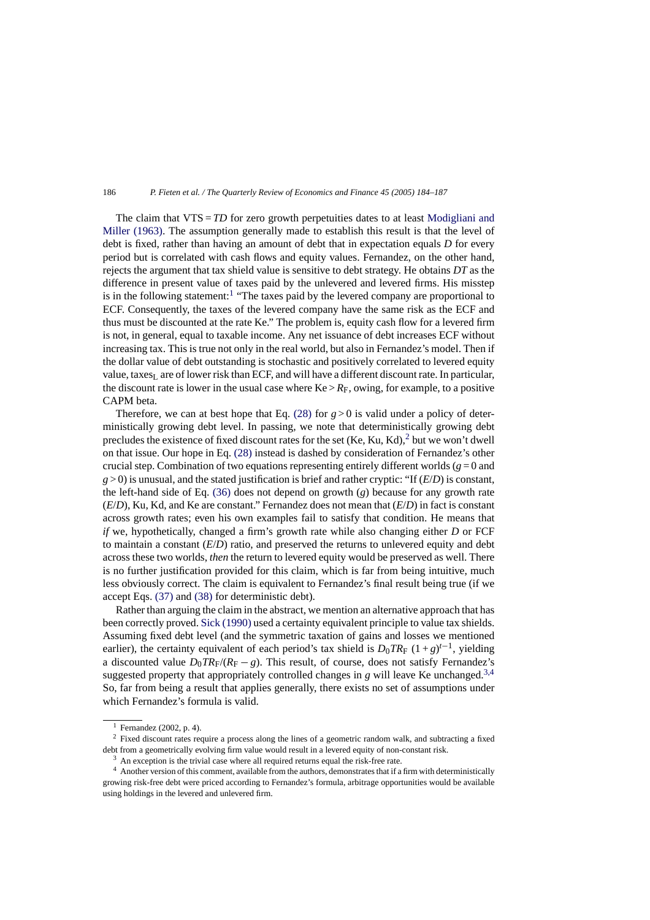The claim that VTS = *TD* for zero growth perpetuities dates to at least [Modigliani and](#page-3-0) [Miller \(1963\).](#page-3-0) The assumption generally made to establish this result is that the level of debt is fixed, rather than having an amount of debt that in expectation equals *D* for every period but is correlated with cash flows and equity values. Fernandez, on the other hand, rejects the argument that tax shield value is sensitive to debt strategy. He obtains *DT* as the difference in present value of taxes paid by the unlevered and levered firms. His misstep is in the following statement:<sup>1</sup> "The taxes paid by the levered company are proportional to ECF. Consequently, the taxes of the levered company have the same risk as the ECF and thus must be discounted at the rate Ke." The problem is, equity cash flow for a levered firm is not, in general, equal to taxable income. Any net issuance of debt increases ECF without increasing tax. This is true not only in the real world, but also in Fernandez's model. Then if the dollar value of debt outstanding is stochastic and positively correlated to levered equity value, taxes $<sub>L</sub>$  are of lower risk than ECF, and will have a different discount rate. In particular,</sub> the discount rate is lower in the usual case where  $Ke > R_F$ , owing, for example, to a positive CAPM beta.

Therefore, we can at best hope that Eq. [\(28\)](#page-1-0) for  $g > 0$  is valid under a policy of deterministically growing debt level. In passing, we note that deterministically growing debt precludes the existence of fixed discount rates for the set  $(Ke, Ku, Kd)<sup>2</sup>$  but we won't dwell on that issue. Our hope in Eq. [\(28\)](#page-1-0) instead is dashed by consideration of Fernandez's other crucial step. Combination of two equations representing entirely different worlds ( $g = 0$  and  $g > 0$ ) is unusual, and the stated justification is brief and rather cryptic: "If  $(E/D)$  is constant, the left-hand side of Eq. [\(36\)](#page-3-0) does not depend on growth (*g*) because for any growth rate (*E*/*D*), Ku, Kd, and Ke are constant." Fernandez does not mean that (*E*/*D*) in fact is constant across growth rates; even his own examples fail to satisfy that condition. He means that *if* we, hypothetically, changed a firm's growth rate while also changing either *D* or FCF to maintain a constant (*E*/*D*) ratio, and preserved the returns to unlevered equity and debt across these two worlds, *then* the return to levered equity would be preserved as well. There is no further justification provided for this claim, which is far from being intuitive, much less obviously correct. The claim is equivalent to Fernandez's final result being true (if we accept Eqs. [\(37\)](#page-1-0) and [\(38\)](#page-1-0) for deterministic debt).

Rather than arguing the claim in the abstract, we mention an alternative approach that has been correctly proved. [Sick \(1990\)](#page-3-0) used a certainty equivalent principle to value tax shields. Assuming fixed debt level (and the symmetric taxation of gains and losses we mentioned earlier), the certainty equivalent of each period's tax shield is  $D_0TR_F (1+g)^{t-1}$ , yielding a discounted value  $D_0TR_F/(R_F - g)$ . This result, of course, does not satisfy Fernandez's suggested property that appropriately controlled changes in *g* will leave Ke unchanged.<sup>3,4</sup> So, far from being a result that applies generally, there exists no set of assumptions under which Fernandez's formula is valid.

<sup>1</sup> Fernandez (2002, p. 4).

<sup>2</sup> Fixed discount rates require a process along the lines of a geometric random walk, and subtracting a fixed debt from a geometrically evolving firm value would result in a levered equity of non-constant risk.

 $3$  An exception is the trivial case where all required returns equal the risk-free rate.

<sup>&</sup>lt;sup>4</sup> Another version of this comment, available from the authors, demonstrates that if a firm with deterministically growing risk-free debt were priced according to Fernandez's formula, arbitrage opportunities would be available using holdings in the levered and unlevered firm.